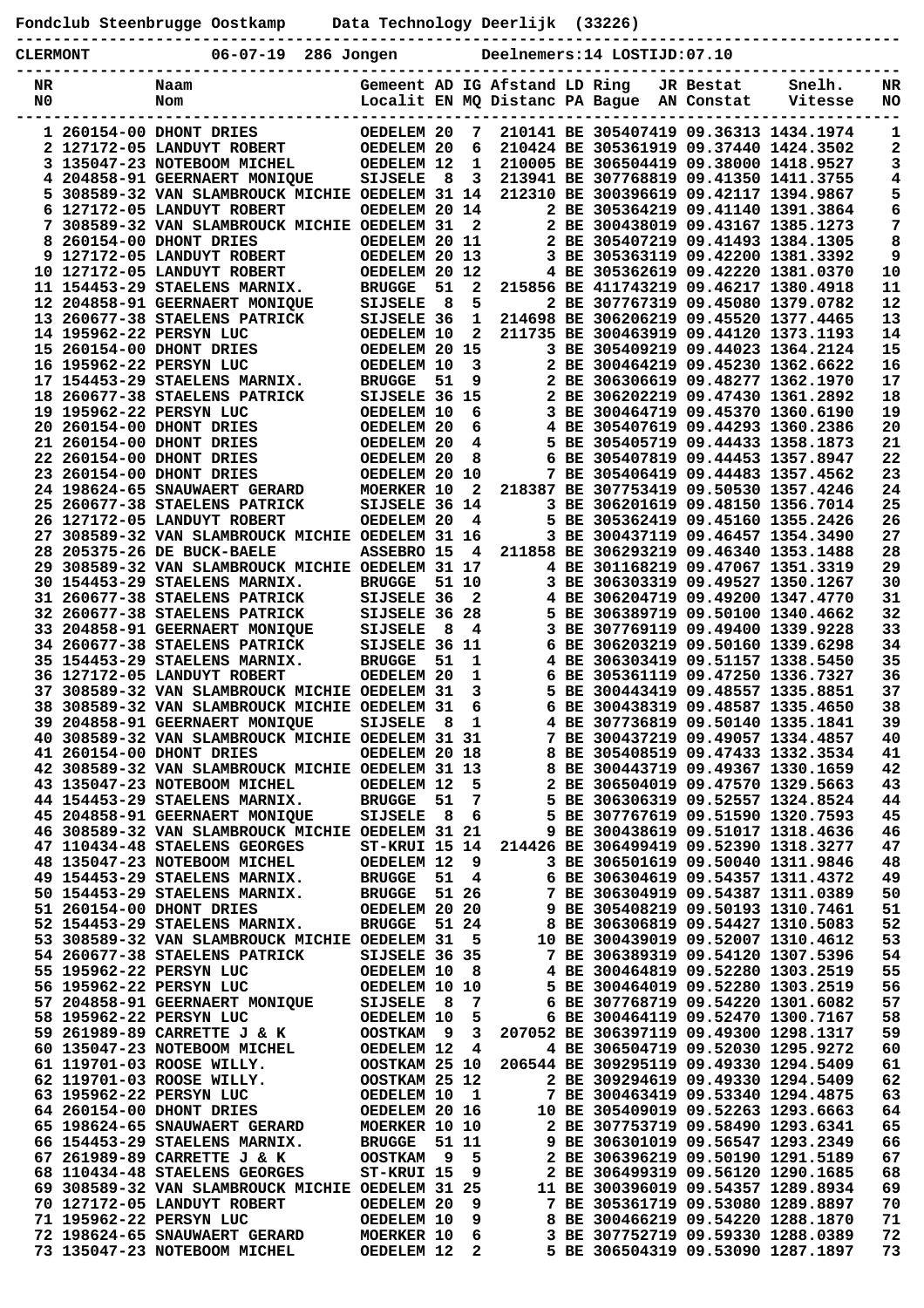|                                                                                |  | Fondclub Steenbrugge Oostkamp                                                                  | Data Technology Deerlijk (33226)     |           |                                           |                                                                 |  |                                                                                  |                         |                                        |          |
|--------------------------------------------------------------------------------|--|------------------------------------------------------------------------------------------------|--------------------------------------|-----------|-------------------------------------------|-----------------------------------------------------------------|--|----------------------------------------------------------------------------------|-------------------------|----------------------------------------|----------|
| $06 - 07 - 19$<br>Deelnemers:14 LOSTIJD:07.10<br>286 Jongen<br><b>CLERMONT</b> |  |                                                                                                |                                      |           |                                           |                                                                 |  |                                                                                  |                         |                                        |          |
| NR<br>N0                                                                       |  | Naam<br>Nom                                                                                    |                                      |           |                                           | Gemeent AD IG Afstand LD Ring<br>Localit EN MQ Distanc PA Bague |  |                                                                                  | JR Bestat<br>AN Constat | Snelh.<br>Vitesse                      | NR<br>NO |
|                                                                                |  | 1 260154-00 DHONT DRIES                                                                        | OEDELEM 20                           |           | 7                                         |                                                                 |  |                                                                                  |                         | 210141 BE 305407419 09.36313 1434.1974 | 1        |
|                                                                                |  | 2 127172-05 LANDUYT ROBERT<br>3 135047-23 NOTEBOOM MICHEL                                      | OEDELEM 20<br>OEDELEM 12             |           | 6<br>1                                    |                                                                 |  | 210424 BE 305361919 09.37440 1424.3502<br>210005 BE 306504419 09.38000 1418.9527 |                         |                                        | 2<br>3   |
|                                                                                |  | 4 204858-91 GEERNAERT MONIQUE                                                                  | <b>SIJSELE</b>                       | 8         | 3                                         |                                                                 |  | 213941 BE 307768819 09.41350 1411.3755                                           |                         |                                        | 4        |
|                                                                                |  | 5 308589-32 VAN SLAMBROUCK MICHIE OEDELEM 31 14                                                |                                      |           |                                           |                                                                 |  | 212310 BE 300396619 09.42117 1394.9867                                           |                         |                                        | 5        |
| 6                                                                              |  | 127172-05 LANDUYT ROBERT                                                                       | OEDELEM 20 14                        |           | $\mathbf{2}$                              |                                                                 |  | 2 BE 305364219 09.41140 1391.3864<br>2 BE 300438019 09.43167 1385.1273           |                         |                                        | 6        |
|                                                                                |  | 7 308589-32 VAN SLAMBROUCK MICHIE OEDELEM 31<br>260154-00 DHONT DRIES                          | OEDELEM 20 11                        |           |                                           |                                                                 |  | 2 BE 305407219 09.41493 1384.1305                                                |                         |                                        | 7<br>8   |
|                                                                                |  | 9 127172-05 LANDUYT ROBERT                                                                     | OEDELEM 20 13                        |           |                                           |                                                                 |  | 3 BE 305363119 09.42200 1381.3392                                                |                         |                                        | 9        |
|                                                                                |  | 10 127172-05 LANDUYT ROBERT                                                                    | OEDELEM 20 12                        |           |                                           |                                                                 |  | 4 BE 305362619 09.42220 1381.0370                                                |                         |                                        | 10       |
|                                                                                |  | 11 154453-29 STAELENS MARNIX.<br>12 204858-91 GEERNAERT MONIQUE                                | <b>BRUGGE</b><br><b>SIJSELE</b>      | 51<br>- 8 | 2<br>5                                    |                                                                 |  | 215856 BE 411743219 09.46217 1380.4918<br>2 BE 307767319 09.45080 1379.0782      |                         |                                        | 11<br>12 |
|                                                                                |  | 13 260677-38 STAELENS PATRICK                                                                  | SIJSELE 36                           |           | $\mathbf{1}$                              |                                                                 |  | 214698 BE 306206219 09.45520 1377.4465                                           |                         |                                        | 13       |
|                                                                                |  | 14 195962-22 PERSYN LUC                                                                        | OEDELEM 10                           |           | 2                                         |                                                                 |  | 211735 BE 300463919 09.44120 1373.1193                                           |                         |                                        | 14       |
|                                                                                |  | 15 260154-00 DHONT DRIES<br>16 195962-22 PERSYN LUC                                            | OEDELEM 20 15<br>OEDELEM 10          |           | $\overline{\mathbf{3}}$                   |                                                                 |  | 3 BE 305409219 09.44023 1364.2124<br>2 BE 300464219 09.45230 1362.6622           |                         |                                        | 15<br>16 |
|                                                                                |  | 17 154453-29 STAELENS MARNIX.                                                                  | <b>BRUGGE</b>                        | 51        | 9                                         |                                                                 |  | 2 BE 306306619 09.48277 1362.1970                                                |                         |                                        | 17       |
|                                                                                |  | 18 260677-38 STAELENS PATRICK                                                                  | SIJSELE 36 15                        |           |                                           |                                                                 |  | 2 BE 306202219 09.47430 1361.2892                                                |                         |                                        | 18       |
|                                                                                |  | 19 195962-22 PERSYN LUC                                                                        | OEDELEM 10                           |           | 6                                         |                                                                 |  | 3 BE 300464719 09.45370 1360.6190                                                |                         |                                        | 19<br>20 |
|                                                                                |  | 20 260154-00 DHONT DRIES<br>21 260154-00 DHONT DRIES                                           | OEDELEM 20<br>OEDELEM 20             |           | 6<br>4                                    |                                                                 |  | 4 BE 305407619 09.44293 1360.2386<br>5 BE 305405719 09.44433 1358.1873           |                         |                                        | 21       |
|                                                                                |  | 22 260154-00 DHONT DRIES                                                                       | OEDELEM 20                           |           | 8                                         | 6                                                               |  | BE 305407819 09.44453 1357.8947                                                  |                         |                                        | 22       |
|                                                                                |  | 23 260154-00 DHONT DRIES                                                                       | OEDELEM 20 10                        |           |                                           |                                                                 |  | 7 BE 305406419 09.44483 1357.4562                                                |                         |                                        | 23       |
|                                                                                |  | 24 198624-65 SNAUWAERT GERARD<br>25 260677-38 STAELENS PATRICK                                 | <b>MOERKER 10</b><br>SIJSELE 36 14   |           | 2                                         |                                                                 |  | 218387 BE 307753419 09.50530 1357.4246<br>3 BE 306201619 09.48150 1356.7014      |                         |                                        | 24<br>25 |
|                                                                                |  | 26 127172-05 LANDUYT ROBERT                                                                    | OEDELEM 20                           |           | 4                                         | 5.                                                              |  | BE 305362419 09.45160 1355.2426                                                  |                         |                                        | 26       |
|                                                                                |  | 27 308589-32 VAN SLAMBROUCK MICHIE OEDELEM 31 16                                               |                                      |           |                                           |                                                                 |  | 3 BE 300437119 09.46457 1354.3490                                                |                         |                                        | 27       |
|                                                                                |  | 28 205375-26 DE BUCK-BAELE                                                                     | ASSEBRO 15                           |           | 4                                         |                                                                 |  | 211858 BE 306293219 09.46340 1353.1488                                           |                         |                                        | 28       |
|                                                                                |  | 29 308589-32 VAN SLAMBROUCK MICHIE OEDELEM 31 17<br>30 154453-29 STAELENS MARNIX.              | <b>BRUGGE</b>                        |           | 51 10                                     |                                                                 |  | 4 BE 301168219 09.47067 1351.3319<br>3 BE 306303319 09.49527 1350.1267           |                         |                                        | 29<br>30 |
|                                                                                |  | 31 260677-38 STAELENS PATRICK                                                                  | SIJSELE 36                           |           | $\overline{2}$                            |                                                                 |  | 4 BE 306204719 09.49200 1347.4770                                                |                         |                                        | 31       |
|                                                                                |  | 32 260677-38 STAELENS PATRICK                                                                  | SIJSELE 36 28                        |           |                                           |                                                                 |  | 5 BE 306389719 09.50100 1340.4662                                                |                         |                                        | 32       |
|                                                                                |  | 33 204858-91 GEERNAERT MONIQUE<br>34 260677-38 STAELENS PATRICK                                | <b>SIJSELE</b><br>SIJSELE 36 11      | 8         | 4                                         | 6                                                               |  | 3 BE 307769119 09.49400 1339.9228<br>BE 306203219 09.50160 1339.6298             |                         |                                        | 33<br>34 |
|                                                                                |  | 35 154453-29 STAELENS MARNIX.                                                                  | <b>BRUGGE</b>                        | 51        | 1                                         |                                                                 |  | 4 BE 306303419 09.51157 1338.5450                                                |                         |                                        | 35       |
|                                                                                |  | 36 127172-05 LANDUYT ROBERT                                                                    | OEDELEM 20                           |           | 1                                         | 6                                                               |  | BE 305361119 09.47250 1336.7327                                                  |                         |                                        | 36       |
|                                                                                |  | 37 308589-32 VAN SLAMBROUCK MICHIE OEDELEM 31<br>38 308589-32 VAN SLAMBROUCK MICHIE OEDELEM 31 |                                      |           | 3<br>6                                    | 5                                                               |  | BE 300443419 09.48557 1335.8851<br>BE 300438319 09.48587 1335.4650               |                         |                                        | 37<br>38 |
|                                                                                |  | 39 204858-91 GEERNAERT MONIQUE                                                                 | SIJSELE 8 1                          |           |                                           | 6                                                               |  | 4 BE 307736819 09.50140 1335.1841                                                |                         |                                        | 39       |
|                                                                                |  | 40 308589-32 VAN SLAMBROUCK MICHIE OEDELEM 31 31                                               |                                      |           |                                           |                                                                 |  |                                                                                  |                         | 7 BE 300437219 09.49057 1334.4857      | 40       |
|                                                                                |  | 41 260154-00 DHONT DRIES                                                                       | OEDELEM 20 18                        |           |                                           |                                                                 |  | 8 BE 305408519 09.47433 1332.3534                                                |                         |                                        | 41       |
|                                                                                |  | 42 308589-32 VAN SLAMBROUCK MICHIE OEDELEM 31 13<br>43 135047-23 NOTEBOOM MICHEL               | OEDELEM 12                           |           | 5                                         |                                                                 |  | 8 BE 300443719 09.49367 1330.1659                                                |                         | 2 BE 306504019 09.47570 1329.5663      | 42<br>43 |
|                                                                                |  | 44 154453-29 STAELENS MARNIX.                                                                  | BRUGGE 51                            |           | 7                                         |                                                                 |  |                                                                                  |                         | 5 BE 306306319 09.52557 1324.8524      | 44       |
|                                                                                |  | 45 204858-91 GEERNAERT MONIQUE                                                                 | SIJSELE 8                            |           | - 6                                       |                                                                 |  | 5 BE 307767619 09.51590 1320.7593                                                |                         |                                        | 45       |
|                                                                                |  | 46 308589-32 VAN SLAMBROUCK MICHIE OEDELEM 31 21<br>47 110434-48 STAELENS GEORGES              | ST-KRUI 15 14                        |           |                                           |                                                                 |  | 9 BE 300438619 09.51017 1318.4636<br>214426 BE 306499419 09.52390 1318.3277      |                         |                                        | 46<br>47 |
|                                                                                |  | 48 135047-23 NOTEBOOM MICHEL                                                                   | OEDELEM 12                           |           | - 9                                       |                                                                 |  | 3 BE 306501619 09.50040 1311.9846                                                |                         |                                        | 48       |
|                                                                                |  | 49 154453-29 STAELENS MARNIX.                                                                  | <b>BRUGGE</b>                        | 51        | $\overline{4}$                            |                                                                 |  |                                                                                  |                         | 6 BE 306304619 09.54357 1311.4372      | 49       |
|                                                                                |  | 50 154453-29 STAELENS MARNIX.<br>51 260154-00 DHONT DRIES                                      | <b>BRUGGE</b><br>OEDELEM 20 20       |           | 51 26                                     |                                                                 |  | 7 BE 306304919 09.54387 1311.0389<br>9 BE 305408219 09.50193 1310.7461           |                         |                                        | 50<br>51 |
|                                                                                |  | 52 154453-29 STAELENS MARNIX.                                                                  | <b>BRUGGE</b>                        |           | 51 24                                     |                                                                 |  |                                                                                  |                         | 8 BE 306306819 09.54427 1310.5083      | 52       |
|                                                                                |  | 53 308589-32 VAN SLAMBROUCK MICHIE OEDELEM 31                                                  |                                      |           | 5                                         |                                                                 |  | 10 BE 300439019 09.52007 1310.4612                                               |                         |                                        | 53       |
|                                                                                |  | 54 260677-38 STAELENS PATRICK                                                                  | SIJSELE 36 35                        |           |                                           |                                                                 |  | 7 BE 306389319 09.54120 1307.5396                                                |                         |                                        | 54       |
|                                                                                |  | 55 195962-22 PERSYN LUC<br>56 195962-22 PERSYN LUC                                             | OEDELEM 10 8<br><b>OEDELEM 10 10</b> |           |                                           |                                                                 |  | 4 BE 300464819 09.52280 1303.2519<br>5 BE 300464019 09.52280 1303.2519           |                         |                                        | 55<br>56 |
|                                                                                |  | 57 204858-91 GEERNAERT MONIQUE                                                                 | SIJSELE 8                            |           | $\overline{7}$                            |                                                                 |  |                                                                                  |                         | 6 BE 307768719 09.54220 1301.6082      | 57       |
|                                                                                |  | 58 195962-22 PERSYN LUC                                                                        | OEDELEM 10                           |           | 5                                         |                                                                 |  |                                                                                  |                         | 6 BE 300464119 09.52470 1300.7167      | 58       |
|                                                                                |  | 59 261989-89 CARRETTE J & K<br>60 135047-23 NOTEBOOM MICHEL                                    | OOSTKAM 9<br>OEDELEM 12              |           | $\overline{\mathbf{3}}$<br>$\overline{4}$ |                                                                 |  | 207052 BE 306397119 09.49300 1298.1317<br>4 BE 306504719 09.52030 1295.9272      |                         |                                        | 59<br>60 |
|                                                                                |  | 61 119701-03 ROOSE WILLY.                                                                      | <b>OOSTKAM 25 10</b>                 |           |                                           |                                                                 |  | 206544 BE 309295119 09.49330 1294.5409                                           |                         |                                        | 61       |
|                                                                                |  | 62 119701-03 ROOSE WILLY.                                                                      | OOSTKAM 25 12                        |           |                                           |                                                                 |  | 2 BE 309294619 09.49330 1294.5409                                                |                         |                                        | 62       |
|                                                                                |  | 63 195962-22 PERSYN LUC                                                                        | OEDELEM 10 1                         |           |                                           |                                                                 |  | 7 BE 300463419 09.53340 1294.4875                                                |                         |                                        | 63       |
|                                                                                |  | 64 260154-00 DHONT DRIES<br>65 198624-65 SNAUWAERT GERARD                                      | OEDELEM 20 16<br>MOERKER 10 10       |           |                                           |                                                                 |  | 10 BE 305409019 09.52263 1293.6663<br>2 BE 307753719 09.58490 1293.6341          |                         |                                        | 64<br>65 |
|                                                                                |  | 66 154453-29 STAELENS MARNIX.                                                                  | BRUGGE 51 11                         |           |                                           |                                                                 |  | 9 BE 306301019 09.56547 1293.2349                                                |                         |                                        | 66       |
|                                                                                |  | 67 261989-89 CARRETTE J & K                                                                    | OOSTKAM 9 5                          |           |                                           |                                                                 |  | 2 BE 306396219 09.50190 1291.5189                                                |                         |                                        | 67       |
|                                                                                |  | 68 110434-48 STAELENS GEORGES<br>69 308589-32 VAN SLAMBROUCK MICHIE OEDELEM 31 25              | ST-KRUI 15                           |           | 9                                         |                                                                 |  | 2 BE 306499319 09.56120 1290.1685<br>11 BE 300396019 09.54357 1289.8934          |                         |                                        | 68<br>69 |
|                                                                                |  | 70 127172-05 LANDUYT ROBERT                                                                    | OEDELEM 20                           |           | - 9                                       |                                                                 |  | 7 BE 305361719 09.53080 1289.8897                                                |                         |                                        | 70       |
|                                                                                |  | 71 195962-22 PERSYN LUC                                                                        | OEDELEM 10                           |           | 9                                         |                                                                 |  | 8 BE 300466219 09.54220 1288.1870                                                |                         |                                        | 71       |
|                                                                                |  | 72 198624-65 SNAUWAERT GERARD<br>73 135047-23 NOTEBOOM MICHEL                                  | <b>MOERKER 10</b><br>OEDELEM 12 2    |           | - 6                                       |                                                                 |  | 5 BE 306504319 09.53090 1287.1897                                                |                         | 3 BE 307752719 09.59330 1288.0389      | 72<br>73 |